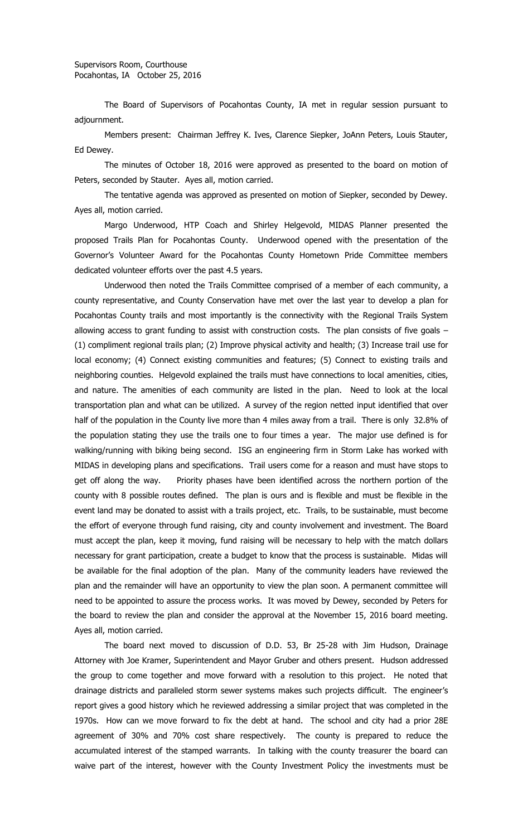The Board of Supervisors of Pocahontas County, IA met in regular session pursuant to adjournment.

Members present: Chairman Jeffrey K. Ives, Clarence Siepker, JoAnn Peters, Louis Stauter, Ed Dewey.

The minutes of October 18, 2016 were approved as presented to the board on motion of Peters, seconded by Stauter. Ayes all, motion carried.

The tentative agenda was approved as presented on motion of Siepker, seconded by Dewey. Ayes all, motion carried.

Margo Underwood, HTP Coach and Shirley Helgevold, MIDAS Planner presented the proposed Trails Plan for Pocahontas County. Underwood opened with the presentation of the Governor's Volunteer Award for the Pocahontas County Hometown Pride Committee members dedicated volunteer efforts over the past 4.5 years.

Underwood then noted the Trails Committee comprised of a member of each community, a county representative, and County Conservation have met over the last year to develop a plan for Pocahontas County trails and most importantly is the connectivity with the Regional Trails System allowing access to grant funding to assist with construction costs. The plan consists of five goals  $-$ (1) compliment regional trails plan; (2) Improve physical activity and health; (3) Increase trail use for local economy; (4) Connect existing communities and features; (5) Connect to existing trails and neighboring counties. Helgevold explained the trails must have connections to local amenities, cities, and nature. The amenities of each community are listed in the plan. Need to look at the local transportation plan and what can be utilized. A survey of the region netted input identified that over half of the population in the County live more than 4 miles away from a trail. There is only 32.8% of the population stating they use the trails one to four times a year. The major use defined is for walking/running with biking being second. ISG an engineering firm in Storm Lake has worked with MIDAS in developing plans and specifications. Trail users come for a reason and must have stops to get off along the way. Priority phases have been identified across the northern portion of the county with 8 possible routes defined. The plan is ours and is flexible and must be flexible in the event land may be donated to assist with a trails project, etc. Trails, to be sustainable, must become the effort of everyone through fund raising, city and county involvement and investment. The Board must accept the plan, keep it moving, fund raising will be necessary to help with the match dollars necessary for grant participation, create a budget to know that the process is sustainable. Midas will be available for the final adoption of the plan. Many of the community leaders have reviewed the plan and the remainder will have an opportunity to view the plan soon. A permanent committee will need to be appointed to assure the process works. It was moved by Dewey, seconded by Peters for the board to review the plan and consider the approval at the November 15, 2016 board meeting. Ayes all, motion carried.

The board next moved to discussion of D.D. 53, Br 25-28 with Jim Hudson, Drainage Attorney with Joe Kramer, Superintendent and Mayor Gruber and others present. Hudson addressed the group to come together and move forward with a resolution to this project. He noted that drainage districts and paralleled storm sewer systems makes such projects difficult. The engineer's report gives a good history which he reviewed addressing a similar project that was completed in the 1970s. How can we move forward to fix the debt at hand. The school and city had a prior 28E agreement of 30% and 70% cost share respectively. The county is prepared to reduce the accumulated interest of the stamped warrants. In talking with the county treasurer the board can waive part of the interest, however with the County Investment Policy the investments must be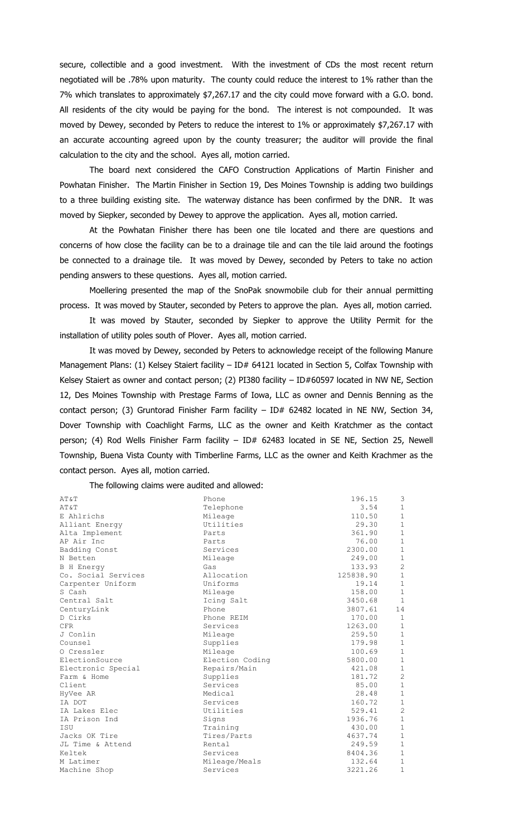secure, collectible and a good investment. With the investment of CDs the most recent return negotiated will be .78% upon maturity. The county could reduce the interest to 1% rather than the 7% which translates to approximately \$7,267.17 and the city could move forward with a G.O. bond. All residents of the city would be paying for the bond. The interest is not compounded. It was moved by Dewey, seconded by Peters to reduce the interest to 1% or approximately \$7,267.17 with an accurate accounting agreed upon by the county treasurer; the auditor will provide the final calculation to the city and the school. Ayes all, motion carried.

The board next considered the CAFO Construction Applications of Martin Finisher and Powhatan Finisher. The Martin Finisher in Section 19, Des Moines Township is adding two buildings to a three building existing site. The waterway distance has been confirmed by the DNR. It was moved by Siepker, seconded by Dewey to approve the application. Ayes all, motion carried.

At the Powhatan Finisher there has been one tile located and there are questions and concerns of how close the facility can be to a drainage tile and can the tile laid around the footings be connected to a drainage tile. It was moved by Dewey, seconded by Peters to take no action pending answers to these questions. Ayes all, motion carried.

Moellering presented the map of the SnoPak snowmobile club for their annual permitting process. It was moved by Stauter, seconded by Peters to approve the plan. Ayes all, motion carried.

It was moved by Stauter, seconded by Siepker to approve the Utility Permit for the installation of utility poles south of Plover. Ayes all, motion carried.

It was moved by Dewey, seconded by Peters to acknowledge receipt of the following Manure Management Plans: (1) Kelsey Staiert facility - ID# 64121 located in Section 5, Colfax Township with Kelsey Staiert as owner and contact person; (2) PI380 facility - ID#60597 located in NW NE, Section 12, Des Moines Township with Prestage Farms of Iowa, LLC as owner and Dennis Benning as the contact person; (3) Gruntorad Finisher Farm facility - ID# 62482 located in NE NW, Section 34, Dover Township with Coachlight Farms, LLC as the owner and Keith Kratchmer as the contact person; (4) Rod Wells Finisher Farm facility - ID# 62483 located in SE NE, Section 25, Newell Township, Buena Vista County with Timberline Farms, LLC as the owner and Keith Krachmer as the contact person. Ayes all, motion carried.

The following claims were audited and allowed:

| AT&T                | Phone           | 196.15    | 3              |
|---------------------|-----------------|-----------|----------------|
| AT&T                | Telephone       | 3.54      | $\mathbf{1}$   |
| E Ahlrichs          | Mileage         | 110.50    | $\mathbf{1}$   |
| Alliant Energy      | Utilities       | 29.30     | $1\,$          |
| Alta Implement      | Parts           | 361.90    | $\mathbf 1$    |
| AP Air Inc          | Parts           | 76.00     | $\mathbf{1}$   |
| Badding Const       | Services        | 2300.00   | $\mathbf{1}$   |
| N Betten            | Mileage         | 249.00    | $\mathbf{1}$   |
| <b>B</b> H Energy   | Gas             | 133.93    | $\overline{c}$ |
| Co. Social Services | Allocation      | 125838.90 | $\mathbf{1}$   |
| Carpenter Uniform   | Uniforms        | 19.14     | $\mathbf{1}$   |
| S Cash              | Mileage         | 158.00    | $\mathbf{1}$   |
| Central Salt        | Icing Salt      | 3450.68   | $\mathbf{1}$   |
| CenturyLink         | Phone           | 3807.61   | 14             |
| D Cirks             | Phone REIM      | 170.00    | 1              |
| <b>CFR</b>          | Services        | 1263.00   | $\mathbf{1}$   |
| J Conlin            | Mileage         | 259.50    | $\mathbf{1}$   |
| Counsel             | Supplies        | 179.98    | $\mathbf{1}$   |
| O Cressler          | Mileage         | 100.69    | $\mathbf{1}$   |
| ElectionSource      | Election Coding | 5800.00   | $\mathbf{1}$   |
| Electronic Special  | Repairs/Main    | 421.08    | $\mathbf{1}$   |
| Farm & Home         | Supplies        | 181.72    | 2              |
| Client              | Services        | 85.00     | $\mathbbm{1}$  |
| HyVee AR            | Medical         | 28.48     | $\mathbf{1}$   |
| IA DOT              | Services        | 160.72    | $\mathbf 1$    |
| IA Lakes Elec       | Utilities       | 529.41    | $\overline{c}$ |
| IA Prison Ind       | Signs           | 1936.76   | $\mathbf{1}$   |
| ISU                 | Training        | 430.00    | $\mathbf 1$    |
| Jacks OK Tire       | Tires/Parts     | 4637.74   | $\mathbf{1}$   |
| JL Time & Attend    | Rental          | 249.59    | $\mathbf{1}$   |
| Keltek              | Services        | 8404.36   | $\mathbf{1}$   |
| M Latimer           | Mileage/Meals   | 132.64    | $\mathbf{1}$   |
| Machine Shop        | Services        | 3221.26   | $\mathbf 1$    |